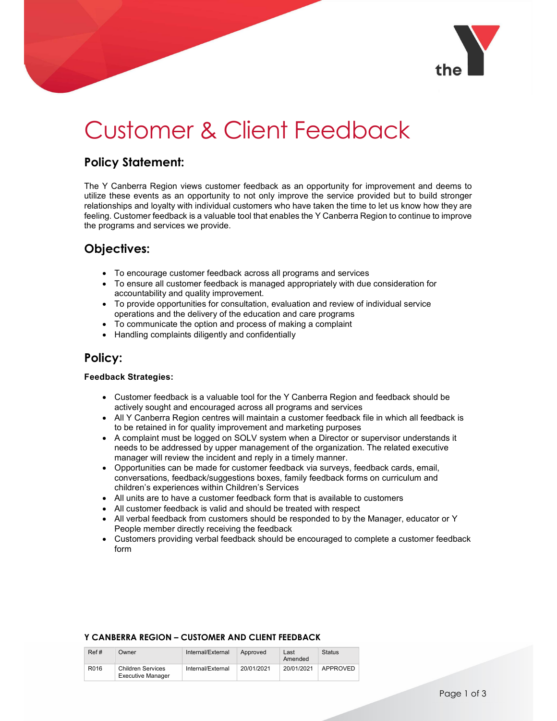

# Customer & Client Feedback

## Policy Statement:

The Y Canberra Region views customer feedback as an opportunity for improvement and deems to utilize these events as an opportunity to not only improve the service provided but to build stronger relationships and loyalty with individual customers who have taken the time to let us know how they are feeling. Customer feedback is a valuable tool that enables the Y Canberra Region to continue to improve the programs and services we provide.

## Objectives:

- To encourage customer feedback across all programs and services
- To ensure all customer feedback is managed appropriately with due consideration for accountability and quality improvement.
- To provide opportunities for consultation, evaluation and review of individual service operations and the delivery of the education and care programs
- To communicate the option and process of making a complaint
- Handling complaints diligently and confidentially

## Policy:

#### Feedback Strategies:

- Customer feedback is a valuable tool for the Y Canberra Region and feedback should be actively sought and encouraged across all programs and services
- All Y Canberra Region centres will maintain a customer feedback file in which all feedback is to be retained in for quality improvement and marketing purposes
- A complaint must be logged on SOLV system when a Director or supervisor understands it needs to be addressed by upper management of the organization. The related executive manager will review the incident and reply in a timely manner.
- Opportunities can be made for customer feedback via surveys, feedback cards, email, conversations, feedback/suggestions boxes, family feedback forms on curriculum and children's experiences within Children's Services
- All units are to have a customer feedback form that is available to customers
- All customer feedback is valid and should be treated with respect
- All verbal feedback from customers should be responded to by the Manager, educator or Y People member directly receiving the feedback
- Customers providing verbal feedback should be encouraged to complete a customer feedback form

### Y CANBERRA REGION – CUSTOMER AND CLIENT FEEDBACK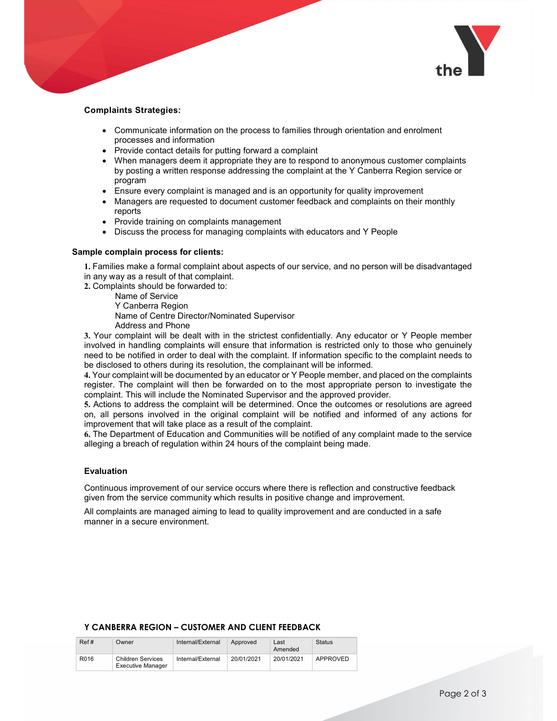

#### Complaints Strategies:

- Communicate information on the process to families through orientation and enrolment processes and information
- Provide contact details for putting forward a complaint
- When managers deem it appropriate they are to respond to anonymous customer complaints by posting a written response addressing the complaint at the Y Canberra Region service or program
- Ensure every complaint is managed and is an opportunity for quality improvement
- Managers are requested to document customer feedback and complaints on their monthly reports
- Provide training on complaints management
- Discuss the process for managing complaints with educators and Y People

#### Sample complain process for clients:

1. Families make a formal complaint about aspects of our service, and no person will be disadvantaged in any way as a result of that complaint.

- 2. Complaints should be forwarded to:
	- Name of Service

Y Canberra Region

Name of Centre Director/Nominated Supervisor

Address and Phone

3. Your complaint will be dealt with in the strictest confidentially. Any educator or Y People member involved in handling complaints will ensure that information is restricted only to those who genuinely need to be notified in order to deal with the complaint. If information specific to the complaint needs to be disclosed to others during its resolution, the complainant will be informed.

4. Your complaint will be documented by an educator or Y People member, and placed on the complaints register. The complaint will then be forwarded on to the most appropriate person to investigate the complaint. This will include the Nominated Supervisor and the approved provider.

5. Actions to address the complaint will be determined. Once the outcomes or resolutions are agreed on, all persons involved in the original complaint will be notified and informed of any actions for improvement that will take place as a result of the complaint.

6. The Department of Education and Communities will be notified of any complaint made to the service alleging a breach of regulation within 24 hours of the complaint being made.

#### Evaluation

Continuous improvement of our service occurs where there is reflection and constructive feedback given from the service community which results in positive change and improvement.

All complaints are managed aiming to lead to quality improvement and are conducted in a safe manner in a secure environment.

#### Y CANBERRA REGION – CUSTOMER AND CLIENT FEEDBACK

| Ref# | Owner                                         | Internal/External | Approved   | Last<br>Amended | Status   |
|------|-----------------------------------------------|-------------------|------------|-----------------|----------|
| R016 | <b>Children Services</b><br>Executive Manager | Internal/External | 20/01/2021 | 20/01/2021      | APPROVED |